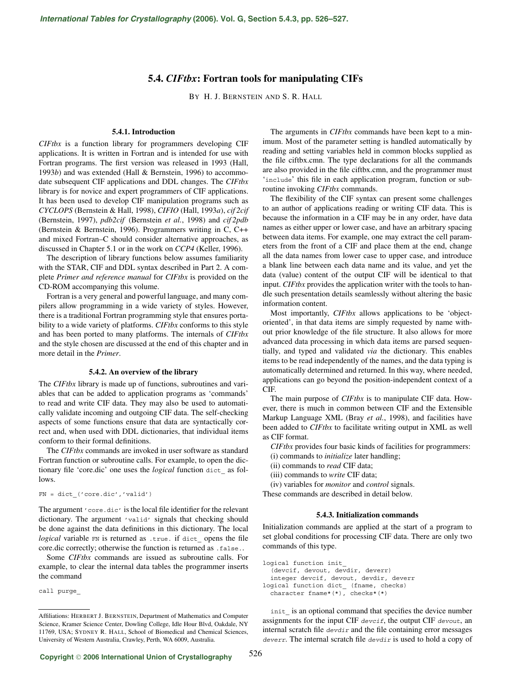# **5.4.** *CIFtbx***: Fortran tools for manipulating CIFs**

BY H. J. BERNSTEIN AND S. R. HALL

## **5.4.1. Introduction**

*CIFtbx* is a function library for programmers developing CIF applications. It is written in Fortran and is intended for use with Fortran programs. The first version was released in 1993 (Hall, 1993*b*) and was extended (Hall & Bernstein, 1996) to accommodate subsequent CIF applications and DDL changes. The *CIFtbx* library is for novice and expert programmers of CIF applications. It has been used to develop CIF manipulation programs such as *CYCLOPS* (Bernstein & Hall, 1998), *CIFIO* (Hall, 1993*a*), *cif 2cif* (Bernstein, 1997), *pdb2cif* (Bernstein *et al.*, 1998) and *cif 2pdb* (Bernstein & Bernstein, 1996). Programmers writing in C, C++ and mixed Fortran–C should consider alternative approaches, as discussed in Chapter 5.1 or in the work on *CCP4* (Keller, 1996).

The description of library functions below assumes familiarity with the STAR, CIF and DDL syntax described in Part 2. A complete *Primer and reference manual* for *CIFtbx* is provided on the CD-ROM accompanying this volume.

Fortran is a very general and powerful language, and many compilers allow programming in a wide variety of styles. However, there is a traditional Fortran programming style that ensures portability to a wide variety of platforms. *CIFtbx* conforms to this style and has been ported to many platforms. The internals of *CIFtbx* and the style chosen are discussed at the end of this chapter and in more detail in the *Primer*.

### **5.4.2. An overview of the library**

The *CIFtbx* library is made up of functions, subroutines and variables that can be added to application programs as 'commands' to read and write CIF data. They may also be used to automatically validate incoming and outgoing CIF data. The self-checking aspects of some functions ensure that data are syntactically correct and, when used with DDL dictionaries, that individual items conform to their formal definitions.

The *CIFtbx* commands are invoked in user software as standard Fortran function or subroutine calls. For example, to open the dictionary file 'core.dic' one uses the *logical* function dict\_ as follows.

FN = dict\_('core.dic','valid')

The argument 'core.dic' is the local file identifier for the relevant dictionary. The argument 'valid' signals that checking should be done against the data definitions in this dictionary. The local *logical* variable FN is returned as .true. if dict\_ opens the file core.dic correctly; otherwise the function is returned as .false..

Some *CIFtbx* commands are issued as subroutine calls. For example, to clear the internal data tables the programmer inserts the command

call purge\_

The arguments in *CIFtbx* commands have been kept to a minimum. Most of the parameter setting is handled automatically by reading and setting variables held in common blocks supplied as the file ciftbx.cmn. The type declarations for all the commands are also provided in the file ciftbx.cmn, and the programmer must 'include' this file in each application program, function or subroutine invoking *CIFtbx* commands.

The flexibility of the CIF syntax can present some challenges to an author of applications reading or writing CIF data. This is because the information in a CIF may be in any order, have data names as either upper or lower case, and have an arbitrary spacing between data items. For example, one may extract the cell parameters from the front of a CIF and place them at the end, change all the data names from lower case to upper case, and introduce a blank line between each data name and its value, and yet the data (value) content of the output CIF will be identical to that input. *CIFtbx* provides the application writer with the tools to handle such presentation details seamlessly without altering the basic information content.

Most importantly, *CIFtbx* allows applications to be 'objectoriented', in that data items are simply requested by name without prior knowledge of the file structure. It also allows for more advanced data processing in which data items are parsed sequentially, and typed and validated *via* the dictionary. This enables items to be read independently of the names, and the data typing is automatically determined and returned. In this way, where needed, applications can go beyond the position-independent context of a CIF.

The main purpose of *CIFtbx* is to manipulate CIF data. However, there is much in common between CIF and the Extensible Markup Language XML (Bray *et al.*, 1998), and facilities have been added to *CIFtbx* to facilitate writing output in XML as well as CIF format.

*CIFtbx* provides four basic kinds of facilities for programmers:

- (i) commands to *initialize* later handling;
- (ii) commands to *read* CIF data;
- (iii) commands to *write* CIF data;
- (iv) variables for *monitor* and *control* signals.

These commands are described in detail below.

#### **5.4.3. Initialization commands**

Initialization commands are applied at the start of a program to set global conditions for processing CIF data. There are only two commands of this type.

logical function init\_ (devcif, devout, devdir, deverr) integer devcif, devout, devdir, deverr logical function dict\_ (fname, checks) character fname\*(\*), checks\*(\*)

init is an optional command that specifies the device number assignments for the input CIF devcif, the output CIF devout, an internal scratch file devdir and the file containing error messages deverr. The internal scratch file devdir is used to hold a copy of

Affiliations: HERBERT J. BERNSTEIN, Department of Mathematics and Computer Science, Kramer Science Center, Dowling College, Idle Hour Blvd, Oakdale, NY 11769, USA; SYDNEY R. HALL, School of Biomedical and Chemical Sciences, University of Western Australia, Crawley, Perth, WA 6009, Australia.